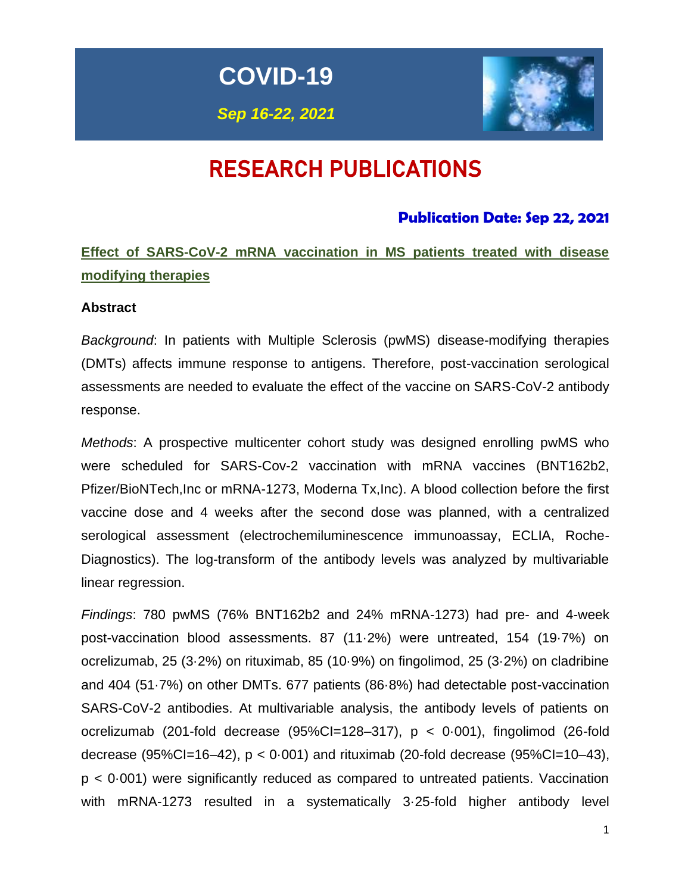**COVID-19**

*Sep 16-22, 2021*



# RESEARCH PUBLICATIONS

## **Publication Date: Sep 22, 2021**

## **Effect of SARS-CoV-2 mRNA vaccination in MS patients treated with disease modifying therapies**

#### **Abstract**

*Background*: In patients with Multiple Sclerosis (pwMS) disease-modifying therapies (DMTs) affects immune response to antigens. Therefore, post-vaccination serological assessments are needed to evaluate the effect of the vaccine on SARS-CoV-2 antibody response.

*Methods*: A prospective multicenter cohort study was designed enrolling pwMS who were scheduled for SARS-Cov-2 vaccination with mRNA vaccines (BNT162b2, Pfizer/BioNTech,Inc or mRNA-1273, Moderna Tx,Inc). A blood collection before the first vaccine dose and 4 weeks after the second dose was planned, with a centralized serological assessment (electrochemiluminescence immunoassay, ECLIA, Roche-Diagnostics). The log-transform of the antibody levels was analyzed by multivariable linear regression.

*Findings*: 780 pwMS (76% BNT162b2 and 24% mRNA-1273) had pre- and 4-week post-vaccination blood assessments. 87 (11·2%) were untreated, 154 (19·7%) on ocrelizumab, 25 (3·2%) on rituximab, 85 (10·9%) on fingolimod, 25 (3·2%) on cladribine and 404 (51·7%) on other DMTs. 677 patients (86·8%) had detectable post-vaccination SARS-CoV-2 antibodies. At multivariable analysis, the antibody levels of patients on ocrelizumab (201-fold decrease  $(95\%CI=128-317)$ ,  $p < 0.001$ ), fingolimod (26-fold decrease (95%Cl=16–42),  $p < 0.001$ ) and rituximab (20-fold decrease (95%Cl=10–43), p < 0·001) were significantly reduced as compared to untreated patients. Vaccination with mRNA-1273 resulted in a systematically 3·25-fold higher antibody level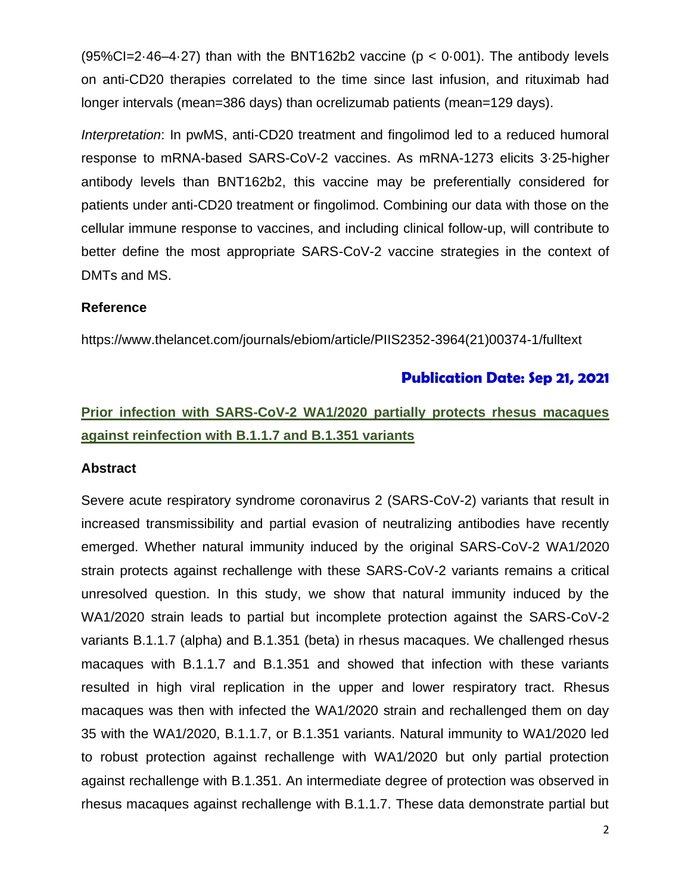$(95\%CI = 2.46-4.27)$  than with the BNT162b2 vaccine ( $p < 0.001$ ). The antibody levels on anti-CD20 therapies correlated to the time since last infusion, and rituximab had longer intervals (mean=386 days) than ocrelizumab patients (mean=129 days).

*Interpretation*: In pwMS, anti-CD20 treatment and fingolimod led to a reduced humoral response to mRNA-based SARS-CoV-2 vaccines. As mRNA-1273 elicits 3·25-higher antibody levels than BNT162b2, this vaccine may be preferentially considered for patients under anti-CD20 treatment or fingolimod. Combining our data with those on the cellular immune response to vaccines, and including clinical follow-up, will contribute to better define the most appropriate SARS-CoV-2 vaccine strategies in the context of DMTs and MS.

#### **Reference**

https://www.thelancet.com/journals/ebiom/article/PIIS2352-3964(21)00374-1/fulltext

#### **Publication Date: Sep 21, 2021**

## **Prior infection with SARS-CoV-2 WA1/2020 partially protects rhesus macaques against reinfection with B.1.1.7 and B.1.351 variants**

#### **Abstract**

Severe acute respiratory syndrome coronavirus 2 (SARS-CoV-2) variants that result in increased transmissibility and partial evasion of neutralizing antibodies have recently emerged. Whether natural immunity induced by the original SARS-CoV-2 WA1/2020 strain protects against rechallenge with these SARS-CoV-2 variants remains a critical unresolved question. In this study, we show that natural immunity induced by the WA1/2020 strain leads to partial but incomplete protection against the SARS-CoV-2 variants B.1.1.7 (alpha) and B.1.351 (beta) in rhesus macaques. We challenged rhesus macaques with B.1.1.7 and B.1.351 and showed that infection with these variants resulted in high viral replication in the upper and lower respiratory tract. Rhesus macaques was then with infected the WA1/2020 strain and rechallenged them on day 35 with the WA1/2020, B.1.1.7, or B.1.351 variants. Natural immunity to WA1/2020 led to robust protection against rechallenge with WA1/2020 but only partial protection against rechallenge with B.1.351. An intermediate degree of protection was observed in rhesus macaques against rechallenge with B.1.1.7. These data demonstrate partial but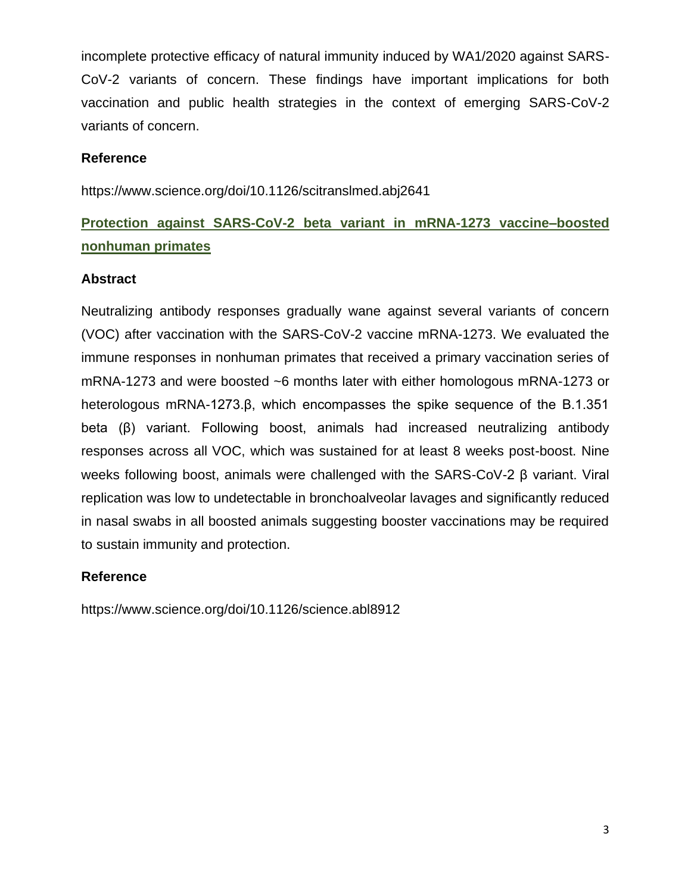incomplete protective efficacy of natural immunity induced by WA1/2020 against SARS-CoV-2 variants of concern. These findings have important implications for both vaccination and public health strategies in the context of emerging SARS-CoV-2 variants of concern.

#### **Reference**

https://www.science.org/doi/10.1126/scitranslmed.abj2641

# **Protection against SARS-CoV-2 beta variant in mRNA-1273 vaccine–boosted nonhuman primates**

#### **Abstract**

Neutralizing antibody responses gradually wane against several variants of concern (VOC) after vaccination with the SARS-CoV-2 vaccine mRNA-1273. We evaluated the immune responses in nonhuman primates that received a primary vaccination series of mRNA-1273 and were boosted ~6 months later with either homologous mRNA-1273 or heterologous mRNA-1273.β, which encompasses the spike sequence of the B.1.351 beta (β) variant. Following boost, animals had increased neutralizing antibody responses across all VOC, which was sustained for at least 8 weeks post-boost. Nine weeks following boost, animals were challenged with the SARS-CoV-2 β variant. Viral replication was low to undetectable in bronchoalveolar lavages and significantly reduced in nasal swabs in all boosted animals suggesting booster vaccinations may be required to sustain immunity and protection.

#### **Reference**

https://www.science.org/doi/10.1126/science.abl8912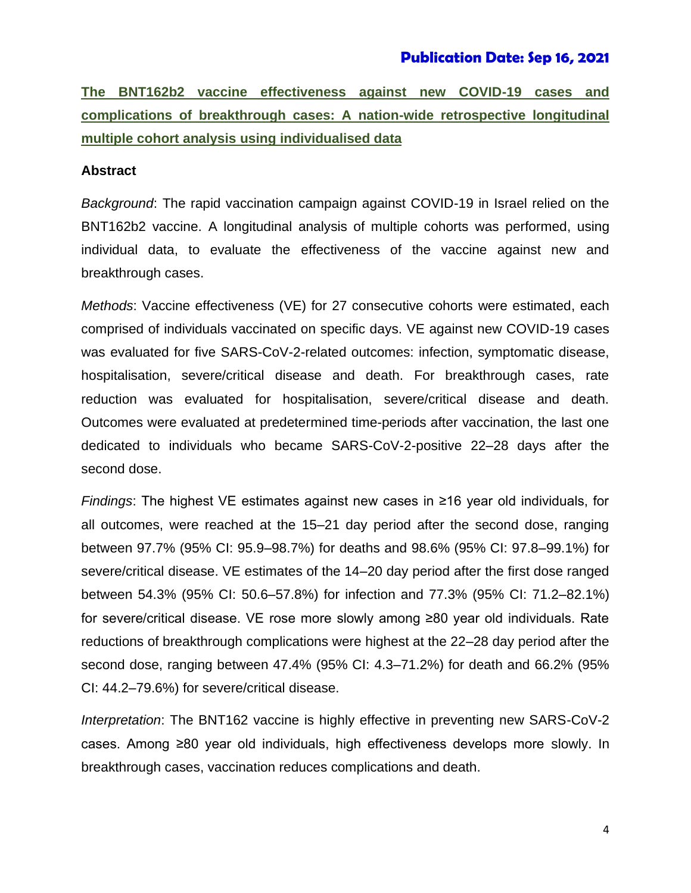#### **Publication Date: Sep 16, 2021**

**The BNT162b2 vaccine effectiveness against new COVID-19 cases and complications of breakthrough cases: A nation-wide retrospective longitudinal multiple cohort analysis using individualised data**

#### **Abstract**

*Background*: The rapid vaccination campaign against COVID-19 in Israel relied on the BNT162b2 vaccine. A longitudinal analysis of multiple cohorts was performed, using individual data, to evaluate the effectiveness of the vaccine against new and breakthrough cases.

*Methods*: Vaccine effectiveness (VE) for 27 consecutive cohorts were estimated, each comprised of individuals vaccinated on specific days. VE against new COVID-19 cases was evaluated for five SARS-CoV-2-related outcomes: infection, symptomatic disease, hospitalisation, severe/critical disease and death. For breakthrough cases, rate reduction was evaluated for hospitalisation, severe/critical disease and death. Outcomes were evaluated at predetermined time-periods after vaccination, the last one dedicated to individuals who became SARS-CoV-2-positive 22–28 days after the second dose.

*Findings*: The highest VE estimates against new cases in ≥16 year old individuals, for all outcomes, were reached at the 15–21 day period after the second dose, ranging between 97.7% (95% CI: 95.9–98.7%) for deaths and 98.6% (95% CI: 97.8–99.1%) for severe/critical disease. VE estimates of the 14–20 day period after the first dose ranged between 54.3% (95% CI: 50.6–57.8%) for infection and 77.3% (95% CI: 71.2–82.1%) for severe/critical disease. VE rose more slowly among ≥80 year old individuals. Rate reductions of breakthrough complications were highest at the 22–28 day period after the second dose, ranging between 47.4% (95% CI: 4.3–71.2%) for death and 66.2% (95% CI: 44.2–79.6%) for severe/critical disease.

*Interpretation*: The BNT162 vaccine is highly effective in preventing new SARS-CoV-2 cases. Among ≥80 year old individuals, high effectiveness develops more slowly. In breakthrough cases, vaccination reduces complications and death.